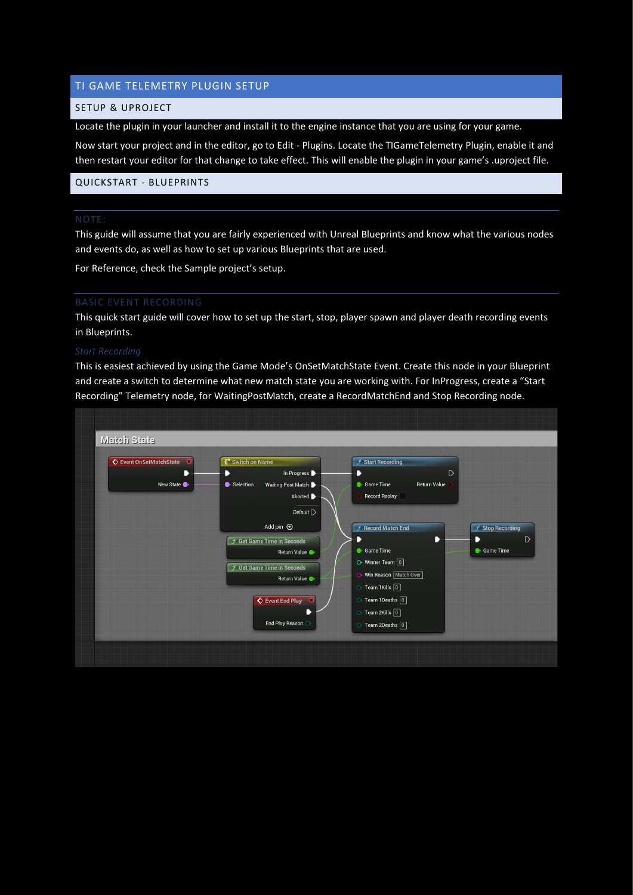# TI GAME TELEMETRY PLUGIN SETUP

## SETUP & UPROJECT

Locate the plugin in your launcher and install it to the engine instance that you are using for your game.

Now start your project and in the editor, go to Edit - Plugins. Locate the TIGameTelemetry Plugin, enable it and then restart your editor for that change to take effect. This will enable the plugin in your game's .uproject file.

## QUICKSTART - BLUEPRINTS

This guide will assume that you are fairly experienced with Unreal Blueprints and know what the various nodes and events do, as well as how to set up various Blueprints that are used.

For Reference, check the Sample project's setup.

This quick start guide will cover how to set up the start, stop, player spawn and player death recording events in Blueprints.

This is easiest achieved by using the Game Mode's OnSetMatchState Event. Create this node in your Blueprint and create a switch to determine what new match state you are working with. For InProgress, create a "Start Recording" Telemetry node, for WaitingPostMatch, create a RecordMatchEnd and Stop Recording node.

| Event OnSetMatchState<br>- 0 | <b>E</b> <sup>*</sup> Switch on Name   | $f$ Start Recording                        |
|------------------------------|----------------------------------------|--------------------------------------------|
| D                            | In Progress<br>D                       | $\circ$<br>D                               |
| New State                    | Selection<br>Waiting Post Match        | <b>Return Value</b><br><b>Game Time</b>    |
|                              | Aborted <b>D</b>                       | <b>Record Replay</b>                       |
|                              | Default $\triangleright$               |                                            |
|                              | Add pin $\bigoplus$                    | $f$ Record Match End<br>$f$ Stop Recording |
|                              | $f$ Get Game Time in Seconds           | $\circ$<br>D<br>D<br>D                     |
|                              | Return Value                           | <b>Game Time</b><br><b>Game Time</b>       |
|                              | $f$ Get Game Time in Seconds           | $\bullet$ Winner Team $\boxed{0}$          |
|                              | Return Value                           | • Win Reason Match Over                    |
|                              |                                        | $\circ$ Team 1Kills $\boxed{0}$            |
|                              | $\overline{\textbf{Q}}$ Event End Play | $\circ$ Team 1Deaths $\boxed{0}$           |
|                              |                                        | $\circ$ Team 2Kills $\boxed{0}$            |
|                              | End Play Reason                        | O Team 2Deaths 0                           |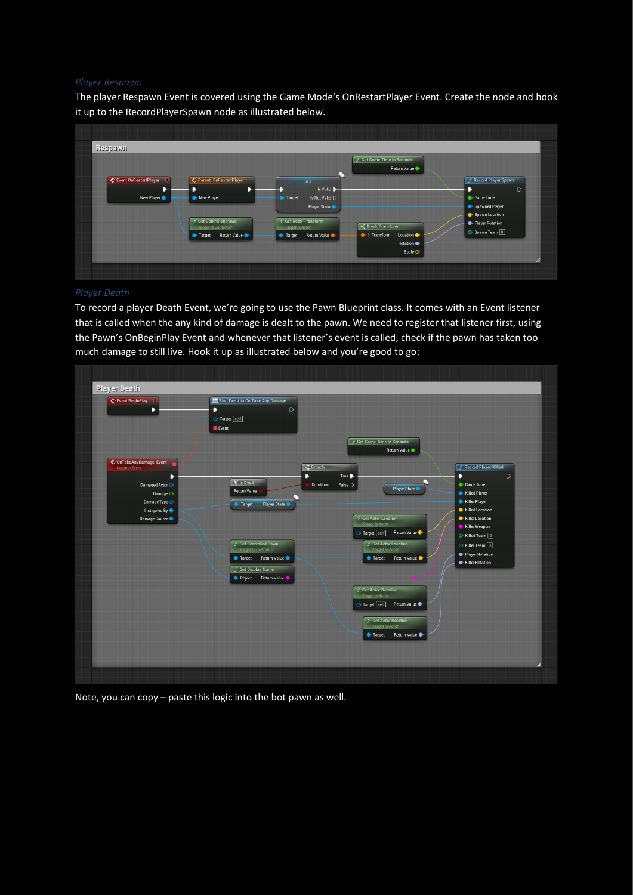The player Respawn Event is covered using the Game Mode's OnRestartPlayer Event. Create the node and hook it up to the RecordPlayerSpawn node as illustrated below.



### *Player Death*

To record a player Death Event, we're going to use the Pawn Blueprint class. It comes with an Event listener that is called when the any kind of damage is dealt to the pawn. We need to register that listener first, using the Pawn's OnBeginPlay Event and whenever that listener's event is called, check if the pawn has taken too much damage to still live. Hook it up as illustrated below and you're good to go:



Note, you can copy – paste this logic into the bot pawn as well.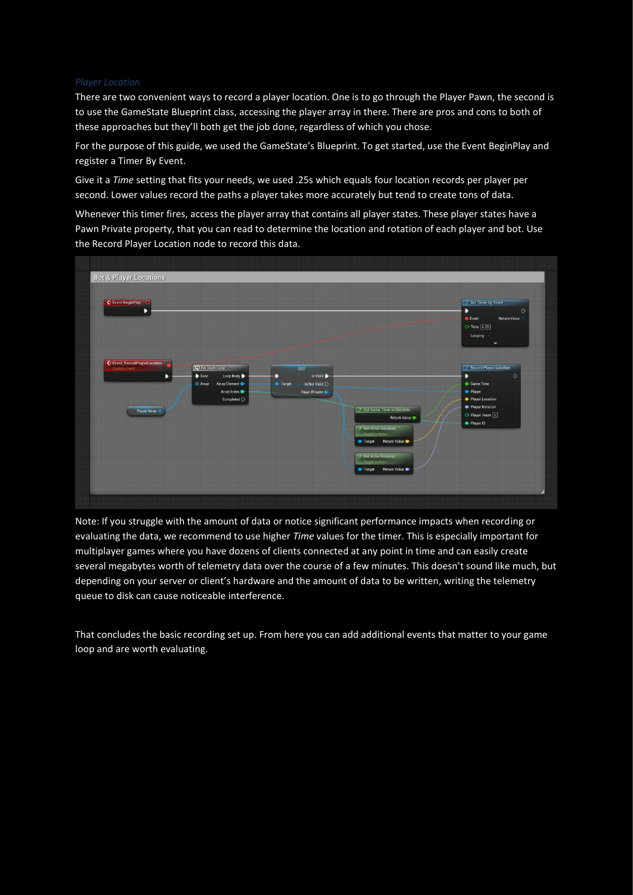### *Player Location*

There are two convenient ways to record a player location. One is to go through the Player Pawn, the second is to use the GameState Blueprint class, accessing the player array in there. There are pros and cons to both of these approaches but they'll both get the job done, regardless of which you chose.

For the purpose of this guide, we used the GameState's Blueprint. To get started, use the Event BeginPlay and register a Timer By Event.

Give it a *Time* setting that fits your needs, we used .25s which equals four location records per player per second. Lower values record the paths a player takes more accurately but tend to create tons of data.

Whenever this timer fires, access the player array that contains all player states. These player states have a Pawn Private property, that you can read to determine the location and rotation of each player and bot. Use the Record Player Location node to record this data.



Note: If you struggle with the amount of data or notice significant performance impacts when recording or evaluating the data, we recommend to use higher *Time* values for the timer. This is especially important for multiplayer games where you have dozens of clients connected at any point in time and can easily create several megabytes worth of telemetry data over the course of a few minutes. This doesn't sound like much, but depending on your server or client's hardware and the amount of data to be written, writing the telemetry queue to disk can cause noticeable interference.

That concludes the basic recording set up. From here you can add additional events that matter to your game loop and are worth evaluating.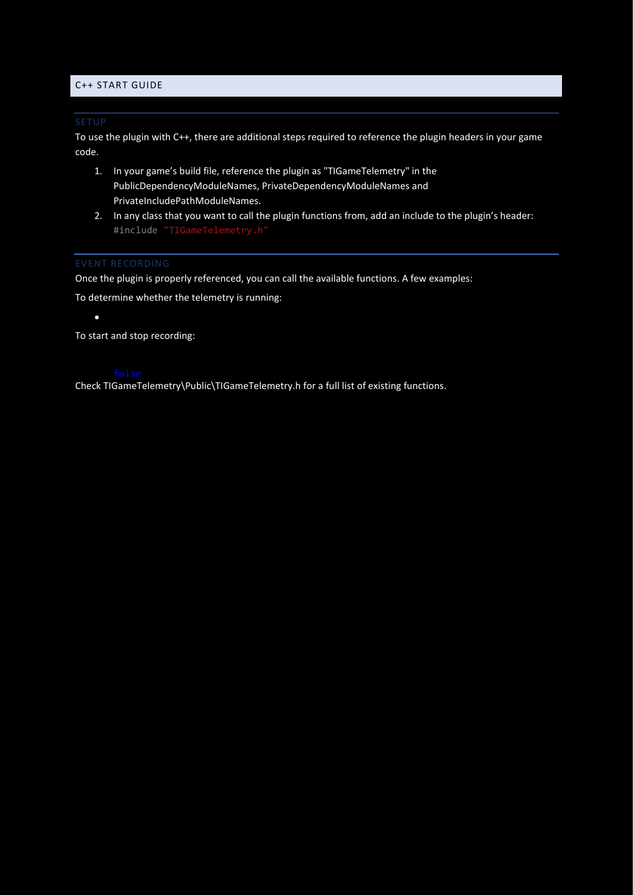### C++ START GUIDE

To use the plugin with C++, there are additional steps required to reference the plugin headers in your game code.

- 1. In your game's build file, reference the plugin as "TIGameTelemetry" in the PublicDependencyModuleNames, PrivateDependencyModuleNames and PrivateIncludePathModuleNames.
- 2. In any class that you want to call the plugin functions from, add an include to the plugin's header: #include "TIGameTelemetry.h"

Once the plugin is properly referenced, you can call the available functions. A few examples:

To determine whether the telemetry is running:

 $\bullet$  FTIGameTelemetryModule: $\bullet$ 

To start and stop recording:

Check TIGameTelemetry\Public\TIGameTelemetry.h for a full list of existing functions.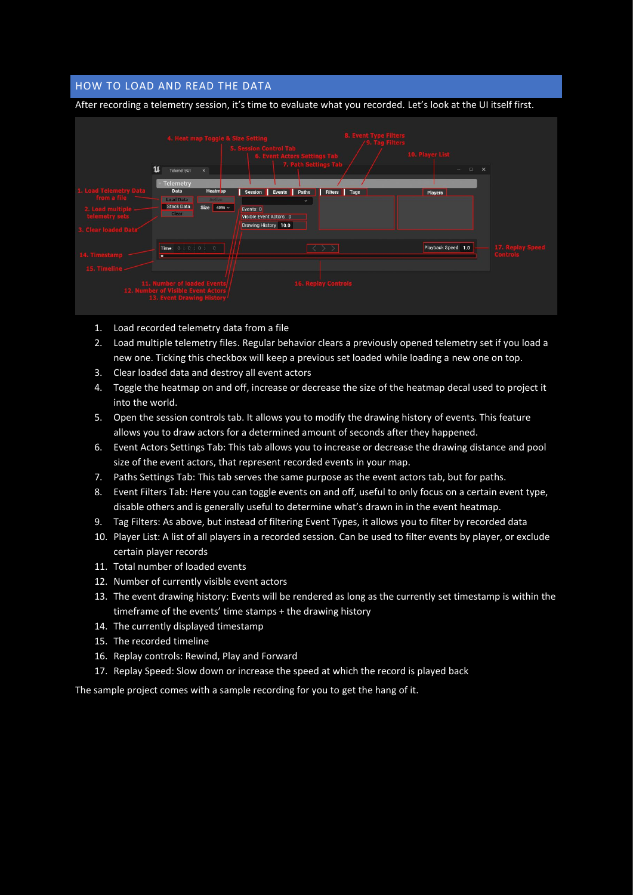# HOW TO LOAD AND READ THE DATA





- 1. Load recorded telemetry data from a file
- 2. Load multiple telemetry files. Regular behavior clears a previously opened telemetry set if you load a new one. Ticking this checkbox will keep a previous set loaded while loading a new one on top.
- 3. Clear loaded data and destroy all event actors
- 4. Toggle the heatmap on and off, increase or decrease the size of the heatmap decal used to project it into the world.
- 5. Open the session controls tab. It allows you to modify the drawing history of events. This feature allows you to draw actors for a determined amount of seconds after they happened.
- 6. Event Actors Settings Tab: This tab allows you to increase or decrease the drawing distance and pool size of the event actors, that represent recorded events in your map.
- 7. Paths Settings Tab: This tab serves the same purpose as the event actors tab, but for paths.
- 8. Event Filters Tab: Here you can toggle events on and off, useful to only focus on a certain event type, disable others and is generally useful to determine what's drawn in in the event heatmap.
- 9. Tag Filters: As above, but instead of filtering Event Types, it allows you to filter by recorded data
- 10. Player List: A list of all players in a recorded session. Can be used to filter events by player, or exclude certain player records
- 11. Total number of loaded events
- 12. Number of currently visible event actors
- 13. The event drawing history: Events will be rendered as long as the currently set timestamp is within the timeframe of the events' time stamps + the drawing history
- 14. The currently displayed timestamp
- 15. The recorded timeline
- 16. Replay controls: Rewind, Play and Forward
- 17. Replay Speed: Slow down or increase the speed at which the record is played back

The sample project comes with a sample recording for you to get the hang of it.